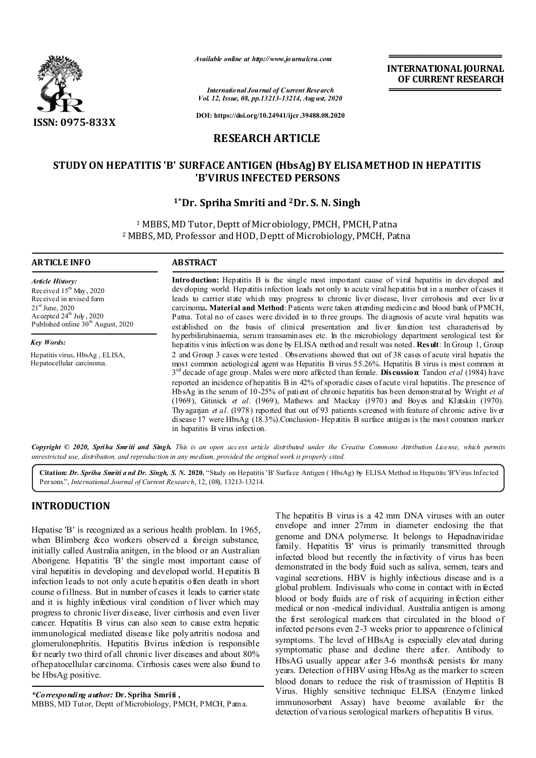

*Available online at http://www.journalcra.com*

**INTERNATIONAL JOURNAL OF CURRENT RESEARCH**

*International Journal of Current Research Vol. 12, Issue, 08, pp.13213-13214, August, 2020*

**DOI: https://doi.org/10.24941/ijcr.39488.08.2020**

## **RESEARCH ARTICLE**

## **STUDY ON HEPATITIS 'B' SURFACE ANTIGEN (HbsAg) BY ELISA METHOD IN HEPATITIS 'B'VIRUS INFECTED PERSONS**

## **1\*Dr. Spriha Smriti and 2Dr. S. N. Singh**

<sup>1</sup> MBBS, MD Tutor, Deptt of Microbiology, PMCH, PMCH, Patna <sup>2</sup> MBBS, MD, Professor and HOD, Deptt of Microbiology, PMCH, Patna

#### **ARTICLE INFO ABSTRACT**

*Article History:* Received 15<sup>th</sup> May, 2020 Received in revised form 21st June, 2020 Accepted  $24^{th}$  July,  $2020$ Published online  $30<sup>th</sup>$  August, 2020

*Key Words:*

Hepatitis virus, HbsAg , ELISA, Hepatocellular carcinoma.

**Introduction:** Hepatitis B is the single most important cause of viral hepatitis in developed and developing world. Hepatitis infection leads not only to acute viral hepatitis but in a number of cases it leads to carrier state which may progress to chronic liver disease, liver cirrohosis and ever liver carcinoma**. Material and Method**: Patients were taken attending medicine and blood bank of PMCH, Patna. Total no of cases were divided in to three groups. The diagnosis of acute viral hepatits was established on the basis of clinical presentation and liver function test characterised by hyperbilirubinaemia, serum transaminases etc. In the microbiology department serological test for hepatitis virus infection was done by ELISA method and result was noted. **Result**: In Group 1, Group 2 and Group 3 cases were tested . Observations showed that out of 38 cases of acute viral hepatis the most common aetiological agent was Hepatitis B virus 55.26%. Hepatitis B virus is most common in 3rd decade of age group. Males were more affected than female. **Discussion**: Tandon *et al* (1984) have reported an incidence of hepatitis B in 42% of sporadic cases of acute viral hepatitis. The presence of HbsAg in the serum of 10-25% of patient of chronic hepatitis has been demonstrated by Wright *et al*  (1969), Gitinick *et al.* (1969), Mathews and Mackay (1970) and Boyes and Klatskin (1970). Thyagarjan *et al.* (1978) reported that out of 93 patients screened with feature of chronic active liver disease 17 were HbsAg (18.3%).Conclusion- Hepatitis B surface antigen is the most common marker in hepatitis B virus infection.

Copyright © 2020, Spriha Smriti and Singh. This is an open access article distributed under the Creative Commons Attribution License, which permits *unrestricted use, distribution, and reproduction in any medium, provided the original work is properly cited.*

**Citation:** *Dr. Spriha Smriti a nd Dr. Singh, S. N.* **2020.** "Study on Hepatitis 'B' Surface Antigen ( HbsAg) by ELISA Method in Hepatitis 'B'Virus Infected Persons.", *International Journal of Current Research*, 12, (08), 13213-13214.

# **INTRODUCTION**

Hepatise 'B' is recognized as a serious health problem. In 1965, when Blimberg &co workers observed a foreign substance, initially called Australia anitgen, in the blood or an Australian Aborigene. Hepatitis 'B' the single most important cause of viral hepatitis in developing and developed world. H epatitis B infection leads to not only acute h epatitis often death in short course of illness. But in number of cases it leads to carrier state and it is highly infectious viral condition of liver which may progress to chronic liver disease, liver cirrhosis and even liver cancer. Hepatitis B virus can also seen to cause extra hepatic immunological mediated disease like polyartritis nodosa and glomerulonephritis. Hepatitis Bvirus infection is responsible for nearly two third of all chronic liver diseases and about 80% of hepatocellular carcinoma. Cirrhosis cases were also found to be HbsAg positive.

*\*Corresponding author:* **Dr. Spriha Smriti ,** MBBS, MD Tutor, Deptt of Microbiology, PMCH, PMCH, Patna.

The hepatitis B virus is a 42 mm DNA viruses with an outer envelope and inner 27mm in diameter enclosing the that genome and DNA polymerse. It belongs to Hepadnaviridae family. Hepatitis 'B' virus is primarily transmitted through infected blood but recently the infectivity of virus has been demonstrated in the body fluid such as saliva, semen, tears and vaginal secretions. HBV is highly infectious disease and is a global problem. Indivisuals who come in contact with infected blood or body fluids are of risk of acquiring infection either medical or non -medical individual. Australia antigen is among the first serological markers that circulated in the blood of infected persons even 2-3 weeks prior to appearence o f clinical symptoms. The level of HBsAg is especially elevated during symptomatic phase and decline there after. Antibody to HbsAG usually appear after 3-6 months& persists for many years. Detection of HBV using HbsAg as the marker to screen blood donars to reduce the risk of trasmission of Heptitis B Virus. Highly sensitive technique ELISA (Enzyme linked immunosorbent Assay) have become available for the detection of various serological markers of hepatitis B virus.